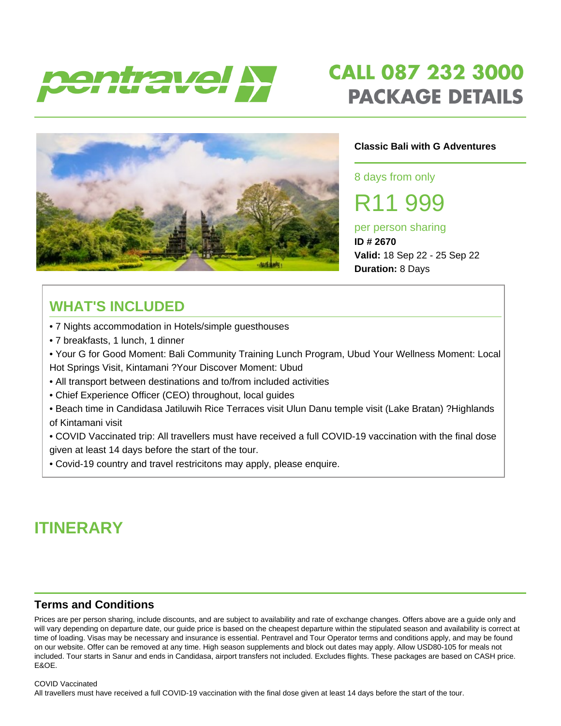

# **CALL 087 232 3000 PACKAGE DETAILS**



#### **Classic Bali with G Adventures**

8 days from only

R11 999

#### per person sharing **ID # 2670**

**Valid:** 18 Sep 22 - 25 Sep 22 **Duration:** 8 Days

## **WHAT'S INCLUDED**

- 7 Nights accommodation in Hotels/simple guesthouses
- 7 breakfasts, 1 lunch, 1 dinner
- Your G for Good Moment: Bali Community Training Lunch Program, Ubud Your Wellness Moment: Local Hot Springs Visit, Kintamani ?Your Discover Moment: Ubud
- All transport between destinations and to/from included activities
- Chief Experience Officer (CEO) throughout, local guides
- Beach time in Candidasa Jatiluwih Rice Terraces visit Ulun Danu temple visit (Lake Bratan) ?Highlands of Kintamani visit
- COVID Vaccinated trip: All travellers must have received a full COVID-19 vaccination with the final dose given at least 14 days before the start of the tour.
- Covid-19 country and travel restricitons may apply, please enquire.

## **ITINERARY**

#### **Terms and Conditions**

Prices are per person sharing, include discounts, and are subject to availability and rate of exchange changes. Offers above are a guide only and will vary depending on departure date, our guide price is based on the cheapest departure within the stipulated season and availability is correct at time of loading. Visas may be necessary and insurance is essential. Pentravel and Tour Operator terms and conditions apply, and may be found on our website. Offer can be removed at any time. High season supplements and block out dates may apply. Allow USD80-105 for meals not included. Tour starts in Sanur and ends in Candidasa, airport transfers not included. Excludes flights. These packages are based on CASH price. E&OE.

#### COVID Vaccinated

All travellers must have received a full COVID-19 vaccination with the final dose given at least 14 days before the start of the tour.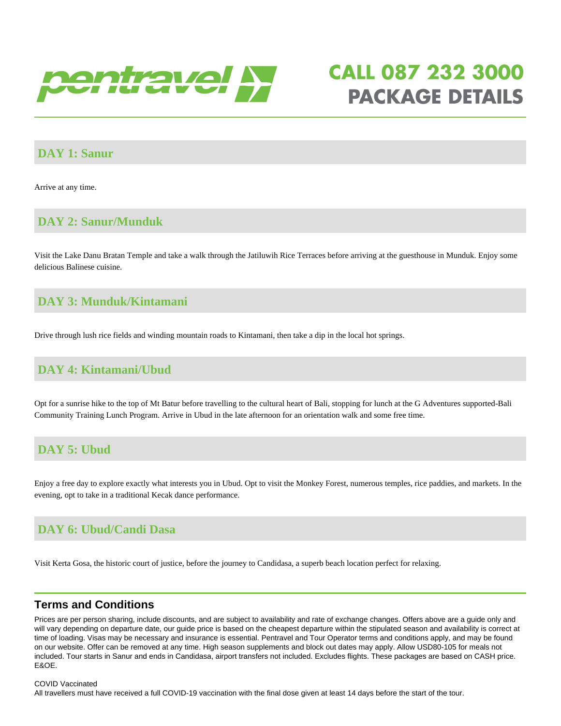

# **CALL 087 232 3000 PACKAGE DETAILS**

#### **DAY 1: Sanur**

Arrive at any time.

#### **DAY 2: Sanur/Munduk**

Visit the Lake Danu Bratan Temple and take a walk through the Jatiluwih Rice Terraces before arriving at the guesthouse in Munduk. Enjoy some delicious Balinese cuisine.

#### **DAY 3: Munduk/Kintamani**

Drive through lush rice fields and winding mountain roads to Kintamani, then take a dip in the local hot springs.

#### **DAY 4: Kintamani/Ubud**

Opt for a sunrise hike to the top of Mt Batur before travelling to the cultural heart of Bali, stopping for lunch at the G Adventures supported-Bali Community Training Lunch Program. Arrive in Ubud in the late afternoon for an orientation walk and some free time.

#### **DAY 5: Ubud**

Enjoy a free day to explore exactly what interests you in Ubud. Opt to visit the Monkey Forest, numerous temples, rice paddies, and markets. In the evening, opt to take in a traditional Kecak dance performance.

### **DAY 6: Ubud/Candi Dasa**

Visit Kerta Gosa, the historic court of justice, before the journey to Candidasa, a superb beach location perfect for relaxing.

#### **Terms and Conditions**

Prices are per person sharing, include discounts, and are subject to availability and rate of exchange changes. Offers above are a guide only and will vary depending on departure date, our guide price is based on the cheapest departure within the stipulated season and availability is correct at time of loading. Visas may be necessary and insurance is essential. Pentravel and Tour Operator terms and conditions apply, and may be found on our website. Offer can be removed at any time. High season supplements and block out dates may apply. Allow USD80-105 for meals not included. Tour starts in Sanur and ends in Candidasa, airport transfers not included. Excludes flights. These packages are based on CASH price. E&OE.

#### COVID Vaccinated

All travellers must have received a full COVID-19 vaccination with the final dose given at least 14 days before the start of the tour.